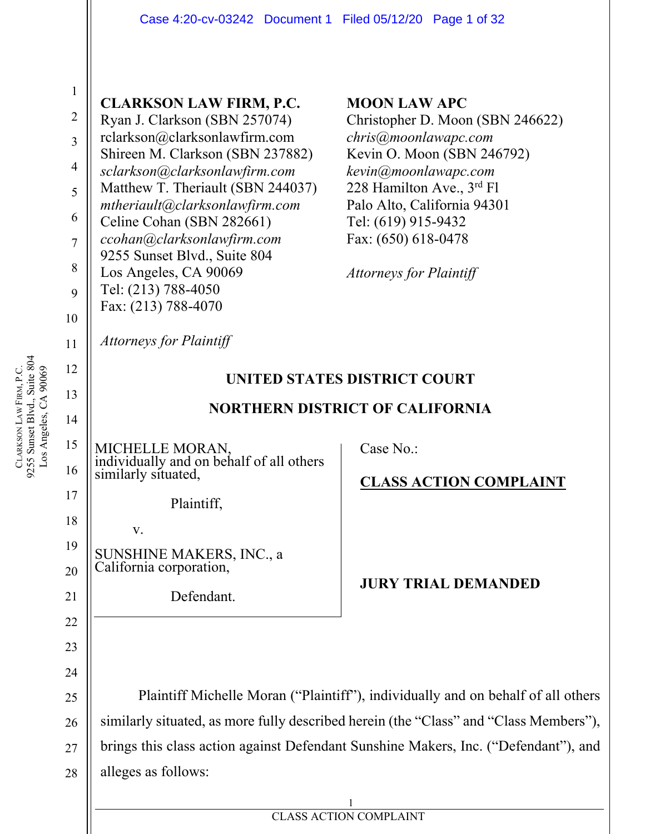|                | Case 4:20-cv-03242 Document 1 Filed 05/12/20 Page 1 of 32         |                                                                                       |
|----------------|-------------------------------------------------------------------|---------------------------------------------------------------------------------------|
|                |                                                                   |                                                                                       |
| $\mathbf{1}$   | <b>CLARKSON LAW FIRM, P.C.</b>                                    | <b>MOON LAW APC</b>                                                                   |
| $\sqrt{2}$     | Ryan J. Clarkson (SBN 257074)                                     | Christopher D. Moon (SBN 246622)                                                      |
| $\overline{3}$ | rclarkson@clarksonlawfirm.com                                     | chris@moonlawapc.com                                                                  |
| $\overline{4}$ | Shireen M. Clarkson (SBN 237882)<br>sclarkson@clarksonlawfirm.com | Kevin O. Moon (SBN 246792)<br>kevin@moonlawapc.com                                    |
| 5              | Matthew T. Theriault (SBN 244037)                                 | 228 Hamilton Ave., 3rd Fl                                                             |
| 6              | mtheriault@clarksonlawfirm.com                                    | Palo Alto, California 94301                                                           |
| $\overline{7}$ | Celine Cohan (SBN 282661)<br>ccohan@clarksonlawfirm.com           | Tel: (619) 915-9432<br>Fax: (650) 618-0478                                            |
|                | 9255 Sunset Blvd., Suite 804                                      |                                                                                       |
| 8              | Los Angeles, CA 90069                                             | <b>Attorneys for Plaintiff</b>                                                        |
| 9              | Tel: (213) 788-4050<br>Fax: (213) 788-4070                        |                                                                                       |
| 10             |                                                                   |                                                                                       |
| 11             | <b>Attorneys for Plaintiff</b>                                    |                                                                                       |
| 12             |                                                                   | UNITED STATES DISTRICT COURT                                                          |
| 13             |                                                                   |                                                                                       |
|                | <b>NORTHERN DISTRICT OF CALIFORNIA</b>                            |                                                                                       |
| 14             |                                                                   |                                                                                       |
| 15             | <b>MICHELLE MORAN</b>                                             | Case No.:                                                                             |
| 16             | individually and on behalf of all others<br>similarly situated,   |                                                                                       |
| 17             |                                                                   | <b>CLASS ACTION COMPLAINT</b>                                                         |
| 18             | Plaintiff,                                                        |                                                                                       |
| 19             | V.                                                                |                                                                                       |
| 20             | SUNSHINE MAKERS, INC., a<br>California corporation,               |                                                                                       |
| 21             | Defendant.                                                        | <b>JURY TRIAL DEMANDED</b>                                                            |
| 22             |                                                                   |                                                                                       |
| 23             |                                                                   |                                                                                       |
| 24             |                                                                   |                                                                                       |
| 25             |                                                                   | Plaintiff Michelle Moran ("Plaintiff"), individually and on behalf of all others      |
| 26             |                                                                   | similarly situated, as more fully described herein (the "Class" and "Class Members"), |
| 27             |                                                                   | brings this class action against Defendant Sunshine Makers, Inc. ("Defendant"), and   |
| 28             | alleges as follows:                                               |                                                                                       |

ERROR IN THE PROPERTY OF A SIGNAL PROPERTY OF A SIGNAL PROPERTY OF A CATTLE ON A CATTLE OF A CATTLE OF A CATTLE OF A CATTLE OF A CATTLE OF A CATTLE OF A CATTLE OF A CATTLE OF A CATTLE OF A CATTLE OF A CATTLE OF A CATTLE OF 1 CLASS ACTION COMPLAINT

CLARKSON LAW FIRM, P.C.<br>9255 Sunset Blvd., Suite 804<br>Los Angeles, CA 90069 9255 Sunset Blvd., Suite 804 LAW FIRM, P.C. Los Angeles, CA 90069 **CLARKSON** 

 $\overline{\phantom{a}}$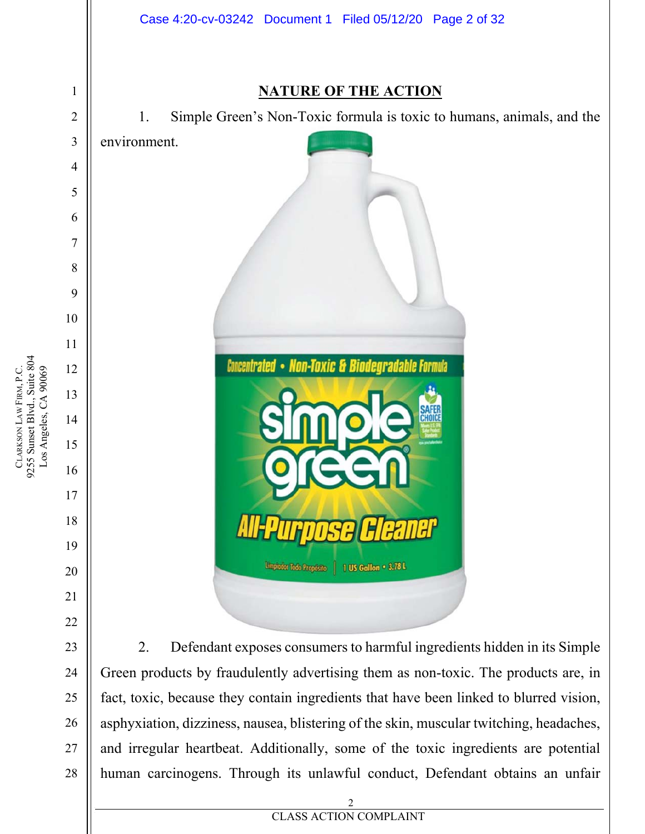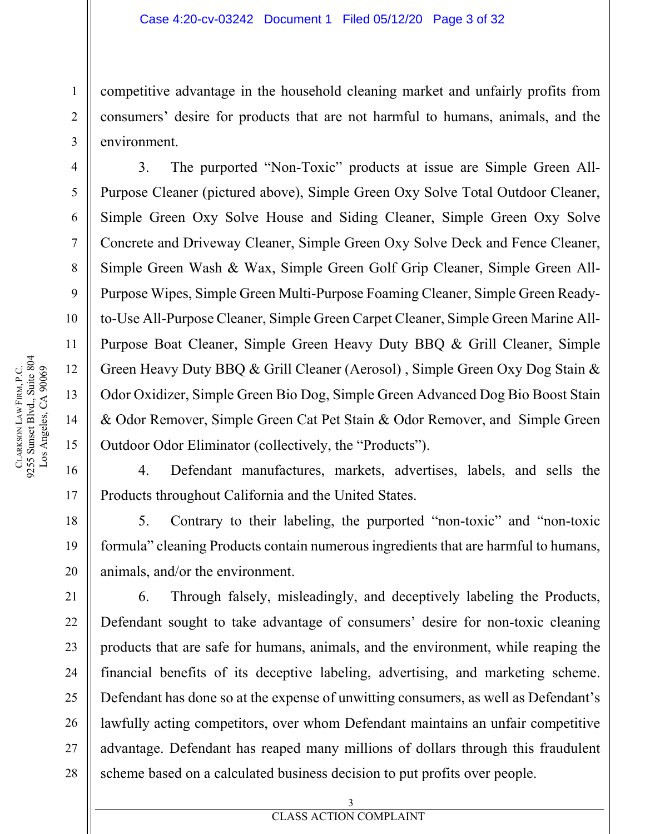competitive advantage in the household cleaning market and unfairly profits from consumers' desire for products that are not harmful to humans, animals, and the environment.

3. The purported "Non-Toxic" products at issue are Simple Green All-Purpose Cleaner (pictured above), Simple Green Oxy Solve Total Outdoor Cleaner, Simple Green Oxy Solve House and Siding Cleaner, Simple Green Oxy Solve Concrete and Driveway Cleaner, Simple Green Oxy Solve Deck and Fence Cleaner, Simple Green Wash & Wax, Simple Green Golf Grip Cleaner, Simple Green All-Purpose Wipes, Simple Green Multi-Purpose Foaming Cleaner, Simple Green Readyto-Use All-Purpose Cleaner, Simple Green Carpet Cleaner, Simple Green Marine All-Purpose Boat Cleaner, Simple Green Heavy Duty BBQ & Grill Cleaner, Simple Green Heavy Duty BBQ & Grill Cleaner (Aerosol) , Simple Green Oxy Dog Stain & Odor Oxidizer, Simple Green Bio Dog, Simple Green Advanced Dog Bio Boost Stain & Odor Remover, Simple Green Cat Pet Stain & Odor Remover, and Simple Green Outdoor Odor Eliminator (collectively, the "Products").

4. Defendant manufactures, markets, advertises, labels, and sells the Products throughout California and the United States.

5. Contrary to their labeling, the purported "non-toxic" and "non-toxic formula" cleaning Products contain numerous ingredients that are harmful to humans, animals, and/or the environment.

6. Through falsely, misleadingly, and deceptively labeling the Products, Defendant sought to take advantage of consumers' desire for non-toxic cleaning products that are safe for humans, animals, and the environment, while reaping the financial benefits of its deceptive labeling, advertising, and marketing scheme. Defendant has done so at the expense of unwitting consumers, as well as Defendant's lawfully acting competitors, over whom Defendant maintains an unfair competitive advantage. Defendant has reaped many millions of dollars through this fraudulent scheme based on a calculated business decision to put profits over people.

1

2

3

4

5

6

7

8

9

10

11

12

13

14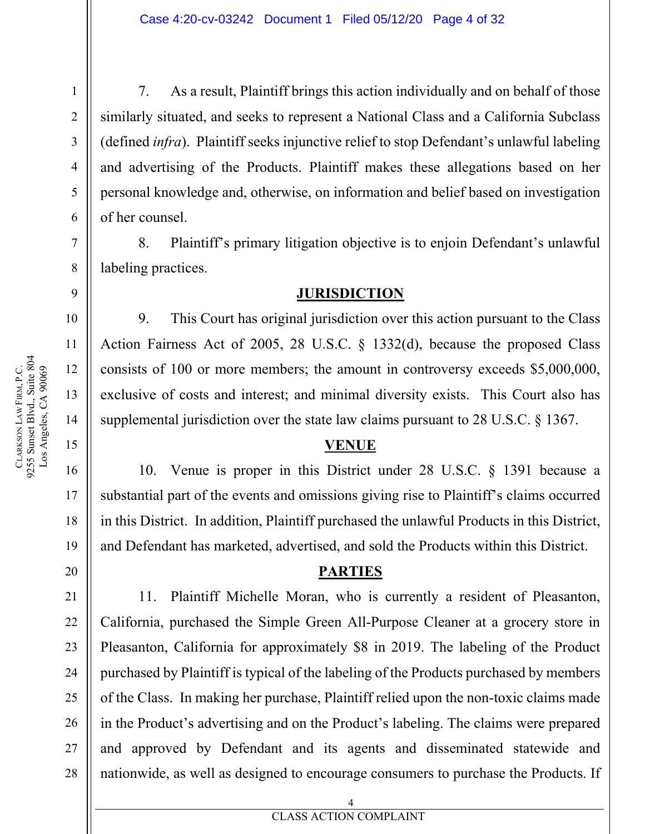7. As a result, Plaintiff brings this action individually and on behalf of those similarly situated, and seeks to represent a National Class and a California Subclass (defined *infra*). Plaintiff seeks injunctive relief to stop Defendant's unlawful labeling and advertising of the Products. Plaintiff makes these allegations based on her personal knowledge and, otherwise, on information and belief based on investigation of her counsel.

8. Plaintiff's primary litigation objective is to enjoin Defendant's unlawful labeling practices.

#### **JURISDICTION**

9. This Court has original jurisdiction over this action pursuant to the Class Action Fairness Act of 2005, 28 U.S.C. § 1332(d), because the proposed Class consists of 100 or more members; the amount in controversy exceeds \$5,000,000, exclusive of costs and interest; and minimal diversity exists. This Court also has supplemental jurisdiction over the state law claims pursuant to 28 U.S.C. § 1367.

#### **VENUE**

10. Venue is proper in this District under 28 U.S.C. § 1391 because a substantial part of the events and omissions giving rise to Plaintiff's claims occurred in this District. In addition, Plaintiff purchased the unlawful Products in this District, and Defendant has marketed, advertised, and sold the Products within this District.

#### **PARTIES**

11. Plaintiff Michelle Moran, who is currently a resident of Pleasanton, California, purchased the Simple Green All-Purpose Cleaner at a grocery store in Pleasanton, California for approximately \$8 in 2019. The labeling of the Product purchased by Plaintiff is typical of the labeling of the Products purchased by members of the Class. In making her purchase, Plaintiff relied upon the non-toxic claims made in the Product's advertising and on the Product's labeling. The claims were prepared and approved by Defendant and its agents and disseminated statewide and nationwide, as well as designed to encourage consumers to purchase the Products. If

CLARKSON

LAW FIRM, P.C.

1

2

3

4

5

6

7

8

9

22

23

24

25

26

27

28

#### 4

# **EXECUTES ACTION COMPLAINT**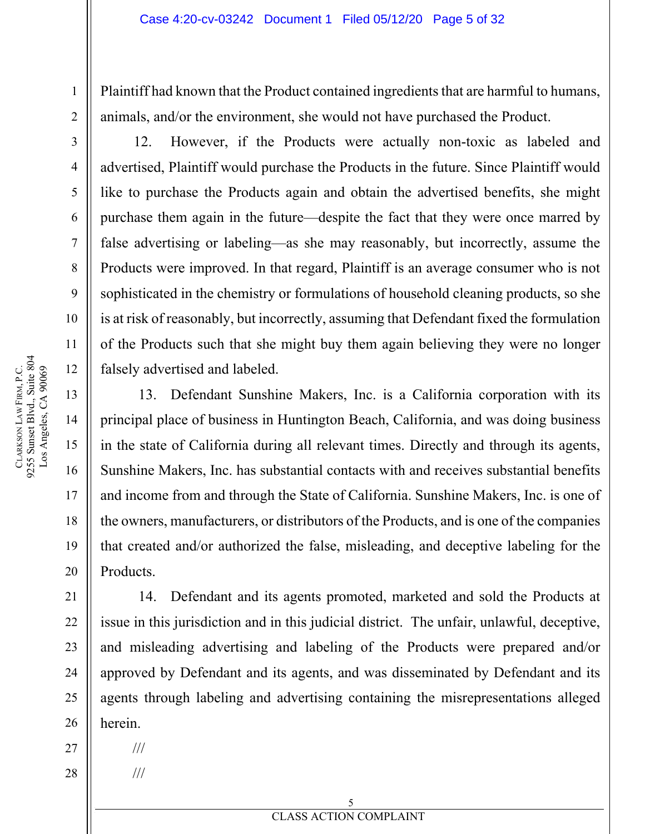Plaintiff had known that the Product contained ingredients that are harmful to humans, animals, and/or the environment, she would not have purchased the Product.

12. However, if the Products were actually non-toxic as labeled and advertised, Plaintiff would purchase the Products in the future. Since Plaintiff would like to purchase the Products again and obtain the advertised benefits, she might purchase them again in the future—despite the fact that they were once marred by false advertising or labeling—as she may reasonably, but incorrectly, assume the Products were improved. In that regard, Plaintiff is an average consumer who is not sophisticated in the chemistry or formulations of household cleaning products, so she is at risk of reasonably, but incorrectly, assuming that Defendant fixed the formulation of the Products such that she might buy them again believing they were no longer falsely advertised and labeled.

13. Defendant Sunshine Makers, Inc. is a California corporation with its principal place of business in Huntington Beach, California, and was doing business in the state of California during all relevant times. Directly and through its agents, Sunshine Makers, Inc. has substantial contacts with and receives substantial benefits and income from and through the State of California. Sunshine Makers, Inc. is one of the owners, manufacturers, or distributors of the Products, and is one of the companies that created and/or authorized the false, misleading, and deceptive labeling for the Products.

14. Defendant and its agents promoted, marketed and sold the Products at issue in this jurisdiction and in this judicial district. The unfair, unlawful, deceptive, and misleading advertising and labeling of the Products were prepared and/or approved by Defendant and its agents, and was disseminated by Defendant and its agents through labeling and advertising containing the misrepresentations alleged herein.

///

///

9255 Sunset Blvd., Suite 804 CLARKSON LAW FIRM, P.C.<br>9255 Sunset Blvd., Suite 804<br>Los Angeles, CA 90069 LAW FIRM, P.C. Los Angeles, CA 90069 CLARKSON

1

2

3

4

5

6

7

8

9

10

11

12

13

14

15

16

17

18

19

20

21

22

23

24

25

26

27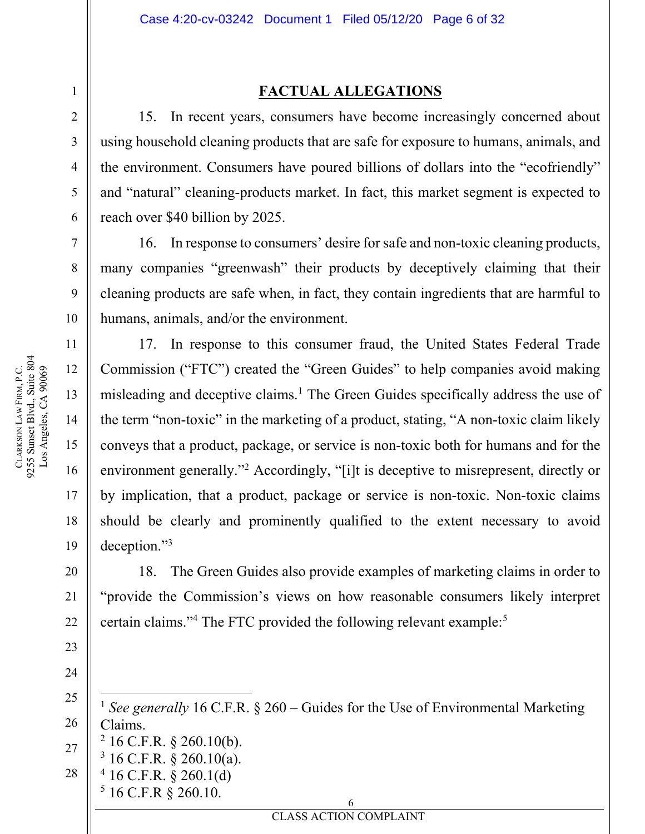#### **FACTUAL ALLEGATIONS**

15. In recent years, consumers have become increasingly concerned about using household cleaning products that are safe for exposure to humans, animals, and the environment. Consumers have poured billions of dollars into the "ecofriendly" and "natural" cleaning-products market. In fact, this market segment is expected to reach over \$40 billion by 2025.

16. In response to consumers' desire for safe and non-toxic cleaning products, many companies "greenwash" their products by deceptively claiming that their cleaning products are safe when, in fact, they contain ingredients that are harmful to humans, animals, and/or the environment.

17. In response to this consumer fraud, the United States Federal Trade Commission ("FTC") created the "Green Guides" to help companies avoid making misleading and deceptive claims.<sup>1</sup> The Green Guides specifically address the use of the term "non-toxic" in the marketing of a product, stating, "A non-toxic claim likely conveys that a product, package, or service is non-toxic both for humans and for the environment generally."<sup>2</sup> Accordingly, "[i]t is deceptive to misrepresent, directly or by implication, that a product, package or service is non-toxic. Non-toxic claims should be clearly and prominently qualified to the extent necessary to avoid deception."3

18. The Green Guides also provide examples of marketing claims in order to "provide the Commission's views on how reasonable consumers likely interpret certain claims."<sup>4</sup> The FTC provided the following relevant example:<sup>5</sup>

25 26 27 28  $\overline{a}$ <sup>1</sup> *See generally* 16 C.F.R. § 260 – Guides for the Use of Environmental Marketing Claims.  $2$  16 C.F.R. § 260.10(b). 3 16 C.F.R. § 260.10(a).  $4$  16 C.F.R. § 260.1(d)  $5$  16 C.F.R § 260.10.

6

**EXECUTES ACTION COMPLAINT** 

9255 Sunset Blvd., Suite 804 CLARKSON LAW FIRM, P.C.<br>9255 Sunset Blvd., Suite 804<br>Los Angeles, CA 90069 LAW FIRM, P.C. Los Angeles, CA 90069 CLARKSON

1

2

3

4

5

6

7

8

9

10

11

12

13

14

15

16

17

18

19

20

21

22

23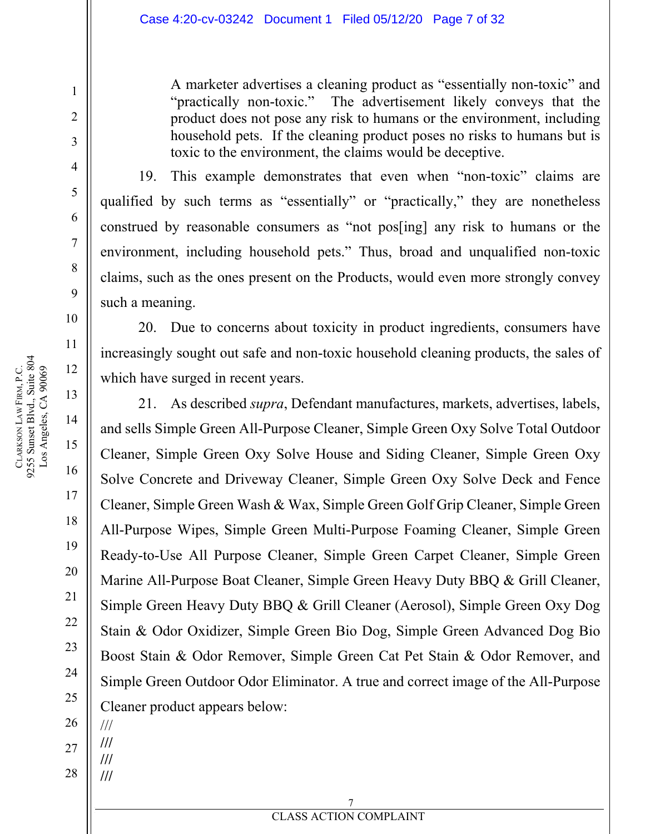A marketer advertises a cleaning product as "essentially non-toxic" and "practically non-toxic." The advertisement likely conveys that the product does not pose any risk to humans or the environment, including household pets. If the cleaning product poses no risks to humans but is toxic to the environment, the claims would be deceptive.

19. This example demonstrates that even when "non-toxic" claims are qualified by such terms as "essentially" or "practically," they are nonetheless construed by reasonable consumers as "not pos[ing] any risk to humans or the environment, including household pets." Thus, broad and unqualified non-toxic claims, such as the ones present on the Products, would even more strongly convey such a meaning.

20. Due to concerns about toxicity in product ingredients, consumers have increasingly sought out safe and non-toxic household cleaning products, the sales of which have surged in recent years.

21. As described *supra*, Defendant manufactures, markets, advertises, labels, and sells Simple Green All-Purpose Cleaner, Simple Green Oxy Solve Total Outdoor Cleaner, Simple Green Oxy Solve House and Siding Cleaner, Simple Green Oxy Solve Concrete and Driveway Cleaner, Simple Green Oxy Solve Deck and Fence Cleaner, Simple Green Wash & Wax, Simple Green Golf Grip Cleaner, Simple Green All-Purpose Wipes, Simple Green Multi-Purpose Foaming Cleaner, Simple Green Ready-to-Use All Purpose Cleaner, Simple Green Carpet Cleaner, Simple Green Marine All-Purpose Boat Cleaner, Simple Green Heavy Duty BBQ & Grill Cleaner, Simple Green Heavy Duty BBQ & Grill Cleaner (Aerosol), Simple Green Oxy Dog Stain & Odor Oxidizer, Simple Green Bio Dog, Simple Green Advanced Dog Bio Boost Stain & Odor Remover, Simple Green Cat Pet Stain & Odor Remover, and Simple Green Outdoor Odor Eliminator. A true and correct image of the All-Purpose Cleaner product appears below:

- 23 24 25 26
- 27 /// **///**

**/// ///** 

1

2

3

4

5

6

7

8

9

10

11

12

13

14

15

16

17

18

19

20

21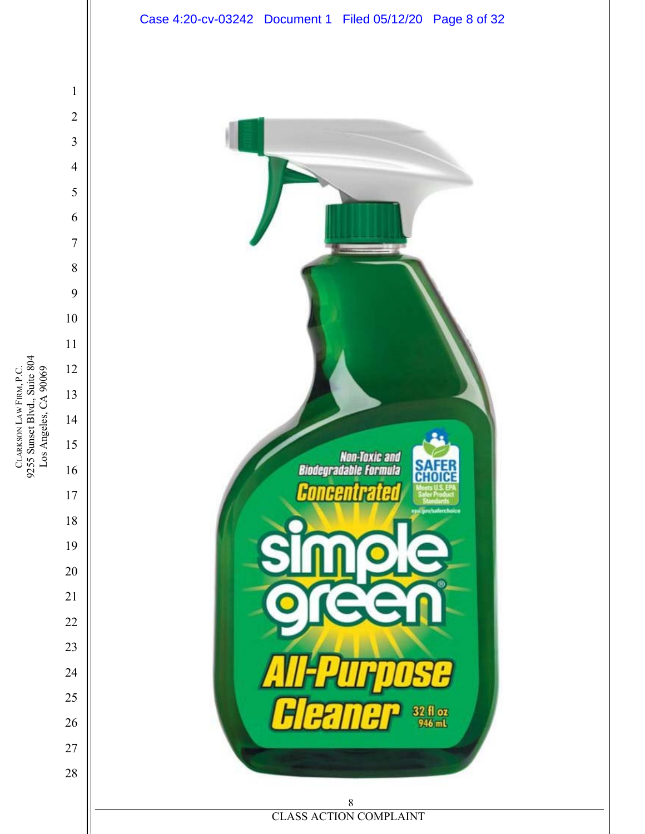

CLARKSON LAW FIRM, P.C.<br>9255 Sunset Blvd., Suite 804<br>Los Angeles, CA 90069 9255 Sunset Blvd., Suite 804 LAW FIRM, P.C. Los Angeles, CA 90069 CLARKSON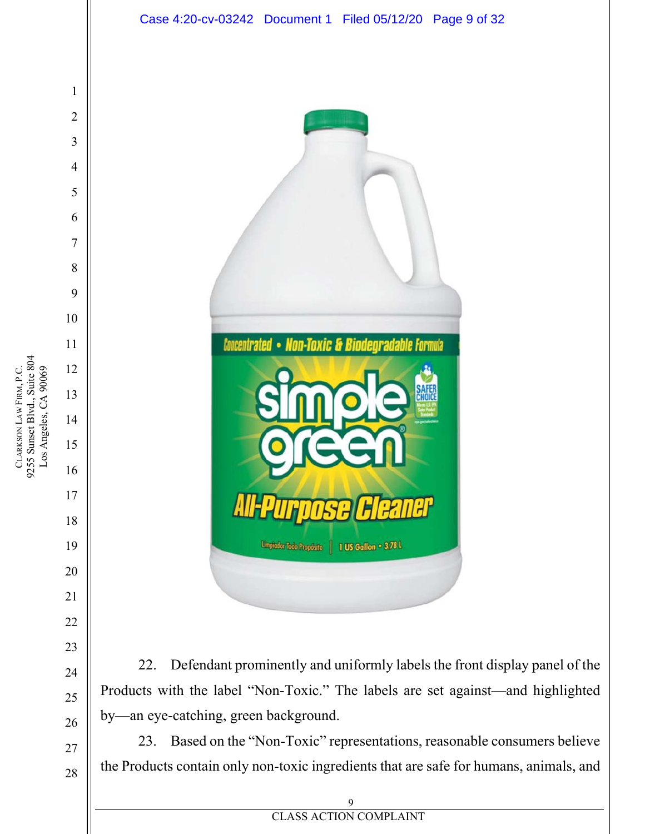

the Products contain only non-toxic ingredients that are safe for humans, animals, and

**EXECUTES ACTION COMPLAINT**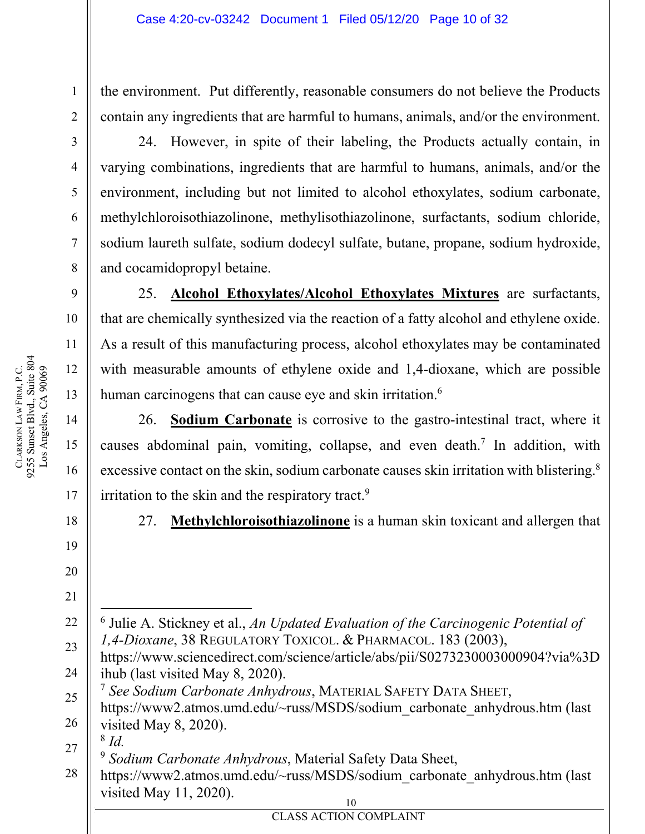the environment. Put differently, reasonable consumers do not believe the Products contain any ingredients that are harmful to humans, animals, and/or the environment.

24. However, in spite of their labeling, the Products actually contain, in varying combinations, ingredients that are harmful to humans, animals, and/or the environment, including but not limited to alcohol ethoxylates, sodium carbonate, methylchloroisothiazolinone, methylisothiazolinone, surfactants, sodium chloride, sodium laureth sulfate, sodium dodecyl sulfate, butane, propane, sodium hydroxide, and cocamidopropyl betaine.

25. **Alcohol Ethoxylates/Alcohol Ethoxylates Mixtures** are surfactants, that are chemically synthesized via the reaction of a fatty alcohol and ethylene oxide. As a result of this manufacturing process, alcohol ethoxylates may be contaminated with measurable amounts of ethylene oxide and 1,4-dioxane, which are possible human carcinogens that can cause eye and skin irritation.<sup>6</sup>

26. **Sodium Carbonate** is corrosive to the gastro-intestinal tract, where it causes abdominal pain, vomiting, collapse, and even death.<sup>7</sup> In addition, with excessive contact on the skin, sodium carbonate causes skin irritation with blistering.<sup>8</sup> irritation to the skin and the respiratory tract.<sup>9</sup>

27. **Methylchloroisothiazolinone** is a human skin toxicant and allergen that

 $\overline{a}$ 6 Julie A. Stickney et al., *An Updated Evaluation of the Carcinogenic Potential of 1,4-Dioxane*, 38 REGULATORY TOXICOL. & PHARMACOL. 183 (2003),

23 24 https://www.sciencedirect.com/science/article/abs/pii/S0273230003000904?via%3D ihub (last visited May 8, 2020).

25 <sup>7</sup> *See Sodium Carbonate Anhydrous*, MATERIAL SAFETY DATA SHEET,

26 https://www2.atmos.umd.edu/~russ/MSDS/sodium\_carbonate\_anhydrous.htm (last visited May 8, 2020).

27 <sup>8</sup> *Id.* 

<sup>9</sup> *Sodium Carbonate Anhydrous*, Material Safety Data Sheet,

**EXECUTES ACTION COMPLAINT** 

28 10 https://www2.atmos.umd.edu/~russ/MSDS/sodium\_carbonate\_anhydrous.htm (last visited May 11, 2020).

CLARKSON

LAW FIRM, P.C.

1

2

3

4

5

6

7

8

9

10

11

12

13

14

15

16

17

18

19

20

21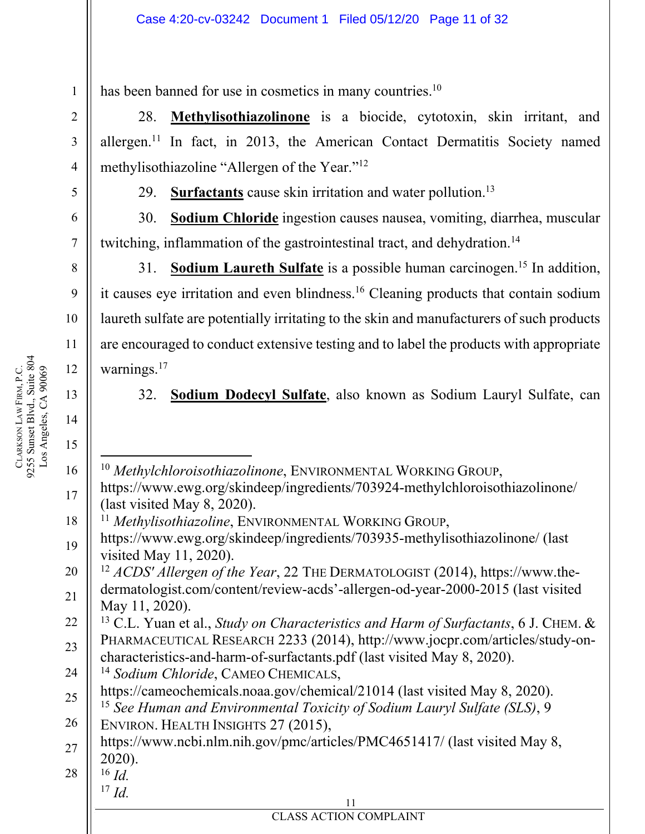has been banned for use in cosmetics in many countries.<sup>10</sup>

28. **Methylisothiazolinone** is a biocide, cytotoxin, skin irritant, and allergen.<sup>11</sup> In fact, in 2013, the American Contact Dermatitis Society named methylisothiazoline "Allergen of the Year."12

29. **Surfactants** cause skin irritation and water pollution.<sup>13</sup>

30. **Sodium Chloride** ingestion causes nausea, vomiting, diarrhea, muscular twitching, inflammation of the gastrointestinal tract, and dehydration.<sup>14</sup>

31. **Sodium Laureth Sulfate** is a possible human carcinogen.<sup>15</sup> In addition, it causes eye irritation and even blindness.16 Cleaning products that contain sodium laureth sulfate are potentially irritating to the skin and manufacturers of such products are encouraged to conduct extensive testing and to label the products with appropriate warnings.<sup>17</sup>

32. **Sodium Dodecyl Sulfate**, also known as Sodium Lauryl Sulfate, can

 $\overline{a}$ <sup>10</sup> *Methylchloroisothiazolinone*, ENVIRONMENTAL WORKING GROUP, https://www.ewg.org/skindeep/ingredients/703924-methylchloroisothiazolinone/ (last visited May 8, 2020).

<sup>11</sup> *Methylisothiazoline*, ENVIRONMENTAL WORKING GROUP,

20 21 <sup>12</sup> *ACDS' Allergen of the Year*, 22 THE DERMATOLOGIST (2014), https://www.thedermatologist.com/content/review-acds'-allergen-od-year-2000-2015 (last visited May 11, 2020).

22 23 13 C.L. Yuan et al., *Study on Characteristics and Harm of Surfactants*, 6 J. CHEM. & PHARMACEUTICAL RESEARCH 2233 (2014), http://www.jocpr.com/articles/study-oncharacteristics-and-harm-of-surfactants.pdf (last visited May 8, 2020).

24 <sup>14</sup> *Sodium Chloride*, CAMEO CHEMICALS,

**EXECUTES ACTION COMPLAINT** 

25 https://cameochemicals.noaa.gov/chemical/21014 (last visited May 8, 2020).

26 <sup>15</sup> *See Human and Environmental Toxicity of Sodium Lauryl Sulfate (SLS)*, 9 ENVIRON. HEALTH INSIGHTS 27 (2015),

27 https://www.ncbi.nlm.nih.gov/pmc/articles/PMC4651417/ (last visited May 8, 2020).

11

28  $^{16}$  *Id.* 

 $^{17}$  *Id.* 

1

2

3

4

5

6

7

8

9

10

11

12

13

14

15

16

17

<sup>19</sup> https://www.ewg.org/skindeep/ingredients/703935-methylisothiazolinone/ (last visited May 11, 2020).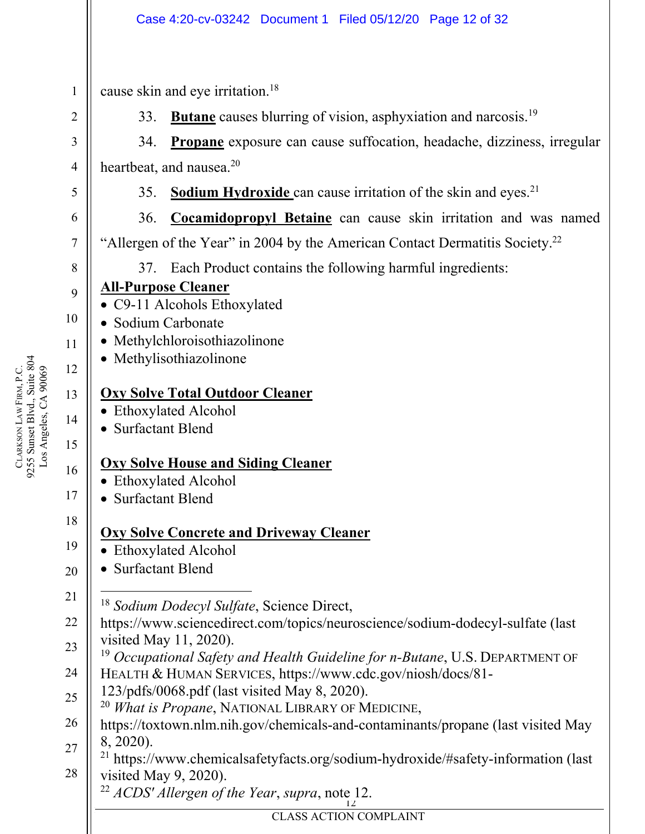cause skin and eye irritation.18

33. **Butane** causes blurring of vision, asphyxiation and narcosis.19

34. **Propane** exposure can cause suffocation, headache, dizziness, irregular heartbeat, and nausea.<sup>20</sup>

- 35. **Sodium Hydroxide** can cause irritation of the skin and eyes.<sup>21</sup>
- 36. **Cocamidopropyl Betaine** can cause skin irritation and was named "Allergen of the Year" in 2004 by the American Contact Dermatitis Society.<sup>22</sup>

37. Each Product contains the following harmful ingredients:

# **All-Purpose Cleaner**

- C9-11 Alcohols Ethoxylated
- Sodium Carbonate
- Methylchloroisothiazolinone
- Methylisothiazolinone

## **Oxy Solve Total Outdoor Cleaner**

- Ethoxylated Alcohol
- Surfactant Blend

# **Oxy Solve House and Siding Cleaner**

- Ethoxylated Alcohol
- Surfactant Blend

## **Oxy Solve Concrete and Driveway Cleaner**

- Ethoxylated Alcohol
- Surfactant Blend
- $\overline{a}$ <sup>18</sup> *Sodium Dodecyl Sulfate*, Science Direct,
- 22 23 https://www.sciencedirect.com/topics/neuroscience/sodium-dodecyl-sulfate (last visited May 11, 2020).
- 24 <sup>19</sup> *Occupational Safety and Health Guideline for n-Butane*, U.S. DEPARTMENT OF HEALTH & HUMAN SERVICES, https://www.cdc.gov/niosh/docs/81-
- 25 123/pdfs/0068.pdf (last visited May 8, 2020).
	- <sup>20</sup> *What is Propane*, NATIONAL LIBRARY OF MEDICINE,
- 26 27 https://toxtown.nlm.nih.gov/chemicals-and-contaminants/propane (last visited May 8, 2020).
- 28 21 https://www.chemicalsafetyfacts.org/sodium-hydroxide/#safety-information (last visited May 9, 2020).
	- 12 <sup>22</sup> *ACDS' Allergen of the Year*, *supra*, note 12.

9255 Sunset Blvd., Suite 804 CLARKSON LAW FIRM, P.C.<br>9255 Sunset Blvd., Suite 804<br>Los Angeles, CA 90069 LAW FIRM, P.C. Los Angeles, CA 90069 CLARKSON

1

2

3

4

5

6

7

8

9

10

11

12

13

14

15

16

17

18

19

20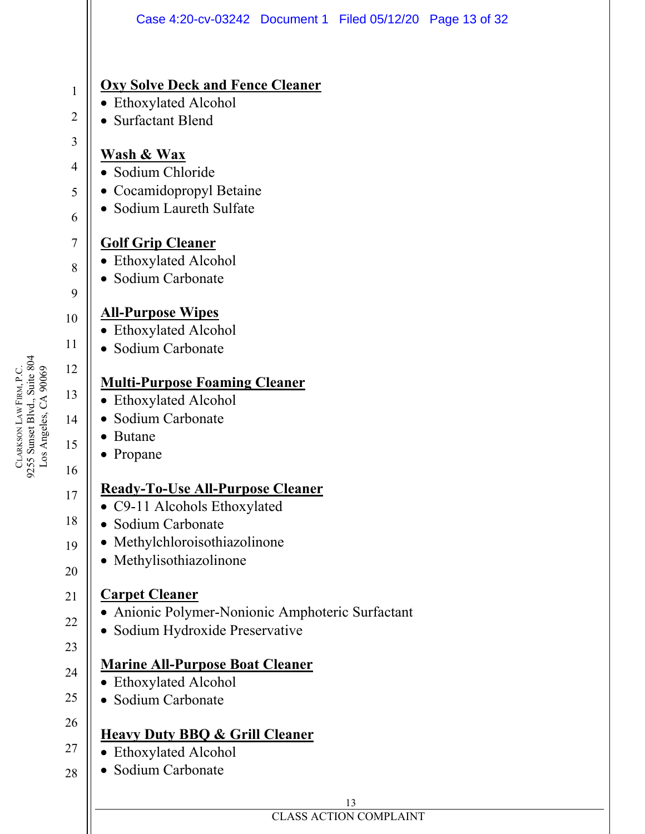

9255 Sunset Blvd., Suite 804 CLARKSON LAW FIRM, P.C.<br>9255 Sunset Blvd., Suite 804<br>Los Angeles, CA 90069 LAW FIRM, P.C. Los Angeles, CA 90069 CLARKSON

# **EXECUTES ACTION COMPLAINT**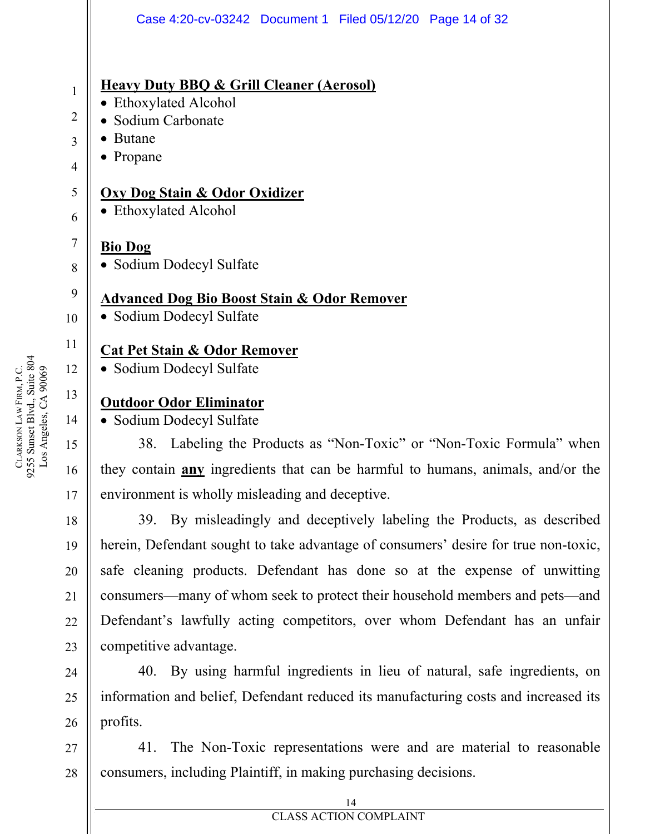|                | Case 4:20-cv-03242 Document 1 Filed 05/12/20 Page 14 of 32                             |
|----------------|----------------------------------------------------------------------------------------|
|                |                                                                                        |
| 1              | <b>Heavy Duty BBQ &amp; Grill Cleaner (Aerosol)</b>                                    |
| $\overline{2}$ | • Ethoxylated Alcohol<br>Sodium Carbonate                                              |
| 3              | <b>Butane</b>                                                                          |
| 4              | $\bullet$ Propane                                                                      |
| 5              | <b>Oxy Dog Stain &amp; Odor Oxidizer</b>                                               |
| 6              | • Ethoxylated Alcohol                                                                  |
| 7              | <b>Bio Dog</b>                                                                         |
| 8              | • Sodium Dodecyl Sulfate                                                               |
| 9              | <b>Advanced Dog Bio Boost Stain &amp; Odor Remover</b>                                 |
| 10             | • Sodium Dodecyl Sulfate                                                               |
| 11             | <b>Cat Pet Stain &amp; Odor Remover</b>                                                |
| 12             | • Sodium Dodecyl Sulfate                                                               |
| 13             | <b>Outdoor Odor Eliminator</b>                                                         |
| 14             | • Sodium Dodecyl Sulfate                                                               |
| 15             | 38. Labeling the Products as "Non-Toxic" or "Non-Toxic Formula" when                   |
| 16             | they contain <b>any</b> ingredients that can be harmful to humans, animals, and/or the |
| 17             | environment is wholly misleading and deceptive.                                        |
| 18             | 39. By misleadingly and deceptively labeling the Products, as described                |
| 19             | herein, Defendant sought to take advantage of consumers' desire for true non-toxic,    |
| 20             | safe cleaning products. Defendant has done so at the expense of unwitting              |
| 21             | consumers—many of whom seek to protect their household members and pets—and            |
| 22             | Defendant's lawfully acting competitors, over whom Defendant has an unfair             |
| 23             | competitive advantage.                                                                 |
| 24             | 40. By using harmful ingredients in lieu of natural, safe ingredients, on              |
| 25             | information and belief, Defendant reduced its manufacturing costs and increased its    |
| 26             | profits.                                                                               |

41. The Non-Toxic representations were and are material to reasonable consumers, including Plaintiff, in making purchasing decisions.

CLARKSON LAW FIRM, P.C.<br>9255 Sunset Blvd., Suite 804<br>Los Angeles, CA 90069 9255 Sunset Blvd., Suite 804 LAW FIRM, P.C. Los Angeles, CA 90069 CLARKSON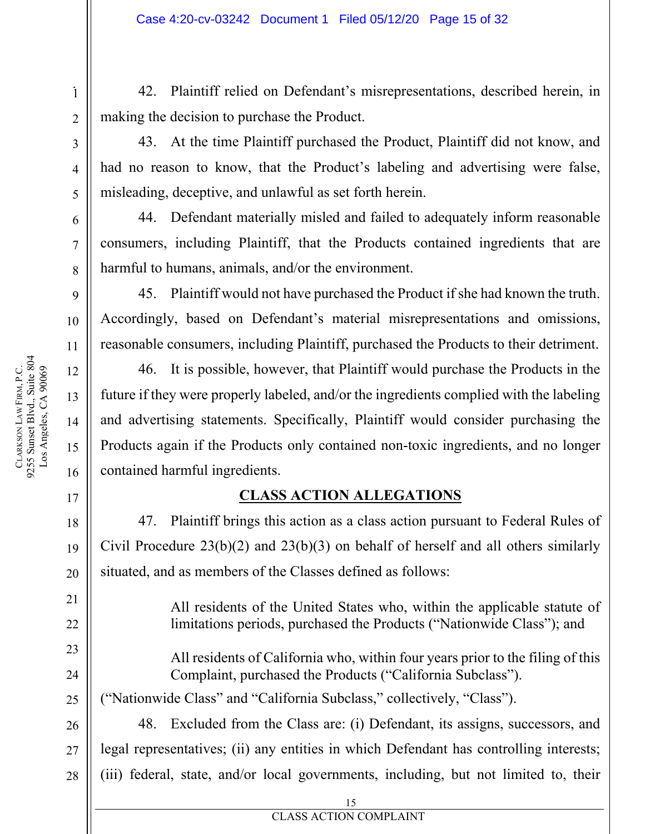42. Plaintiff relied on Defendant's misrepresentations, described herein, in making the decision to purchase the Product.

4 4

5 5

6 6

7 7

8 8

9 9

10 10

11 11

12 12

13 13

14 14

15 15

1 1

43. At the time Plaintiff purchased the Product, Plaintiff did not know, and had no reason to know, that the Product's labeling and advertising were false, misleading, deceptive, and unlawful as set forth herein.

44. Defendant materially misled and failed to adequately inform reasonable consumers, including Plaintiff, that the Products contained ingredients that are harmful to humans, animals, and/or the environment.

45. Plaintiff would not have purchased the Product if she had known the truth. Accordingly, based on Defendant's material misrepresentations and omissions, reasonable consumers, including Plaintiff, purchased the Products to their detriment.

46. It is possible, however, that Plaintiff would purchase the Products in the future if they were properly labeled, and/or the ingredients complied with the labeling and advertising statements. Specifically, Plaintiff would consider purchasing the Products again if the Products only contained non-toxic ingredients, and no longer contained harmful ingredients.

## **CLASS ACTION ALLEGATIONS**

47. Plaintiff brings this action as a class action pursuant to Federal Rules of Civil Procedure 23(b)(2) and 23(b)(3) on behalf of herself and all others similarly situated, and as members of the Classes defined as follows:

> All residents of the United States who, within the applicable statute of limitations periods, purchased the Products ("Nationwide Class"); and

> All residents of California who, within four years prior to the filing of this Complaint, purchased the Products ("California Subclass").

("Nationwide Class" and "California Subclass," collectively, "Class").

48. Excluded from the Class are: (i) Defendant, its assigns, successors, and legal representatives; (ii) any entities in which Defendant has controlling interests; (iii) federal, state, and/or local governments, including, but not limited to, their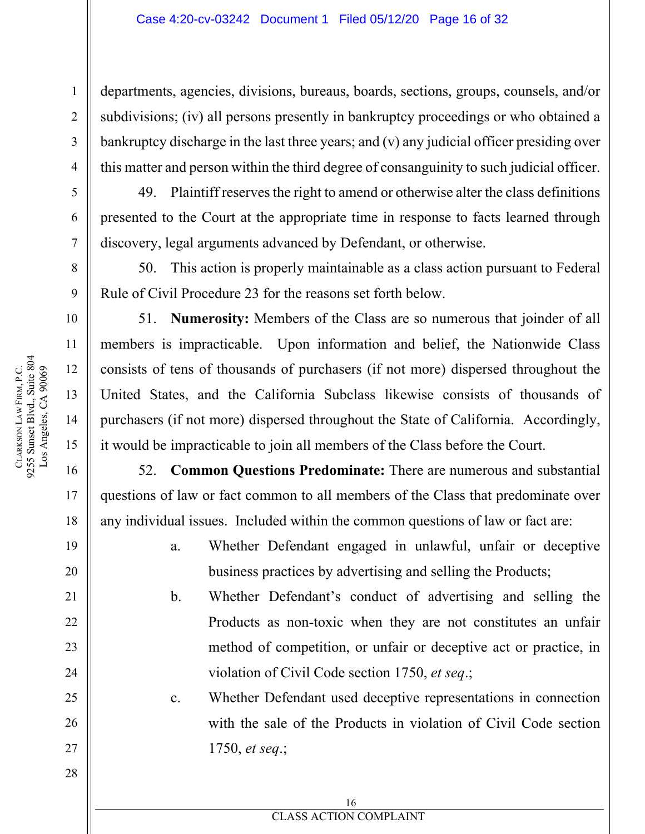departments, agencies, divisions, bureaus, boards, sections, groups, counsels, and/or subdivisions; (iv) all persons presently in bankruptcy proceedings or who obtained a bankruptcy discharge in the last three years; and (v) any judicial officer presiding over this matter and person within the third degree of consanguinity to such judicial officer.

49. Plaintiff reserves the right to amend or otherwise alter the class definitions presented to the Court at the appropriate time in response to facts learned through discovery, legal arguments advanced by Defendant, or otherwise.

50. This action is properly maintainable as a class action pursuant to Federal Rule of Civil Procedure 23 for the reasons set forth below.

51. **Numerosity:** Members of the Class are so numerous that joinder of all members is impracticable. Upon information and belief, the Nationwide Class consists of tens of thousands of purchasers (if not more) dispersed throughout the United States, and the California Subclass likewise consists of thousands of purchasers (if not more) dispersed throughout the State of California. Accordingly, it would be impracticable to join all members of the Class before the Court.

52. **Common Questions Predominate:** There are numerous and substantial questions of law or fact common to all members of the Class that predominate over any individual issues. Included within the common questions of law or fact are:

> a. Whether Defendant engaged in unlawful, unfair or deceptive business practices by advertising and selling the Products;

b. Whether Defendant's conduct of advertising and selling the Products as non-toxic when they are not constitutes an unfair method of competition, or unfair or deceptive act or practice, in violation of Civil Code section 1750, *et seq*.;

c. Whether Defendant used deceptive representations in connection with the sale of the Products in violation of Civil Code section 1750, *et seq*.;

1

2

3

4

5

6

7

8

9

10

11

12

13

14

15

16

17

18

19

20

21

22

23

24

25

26

27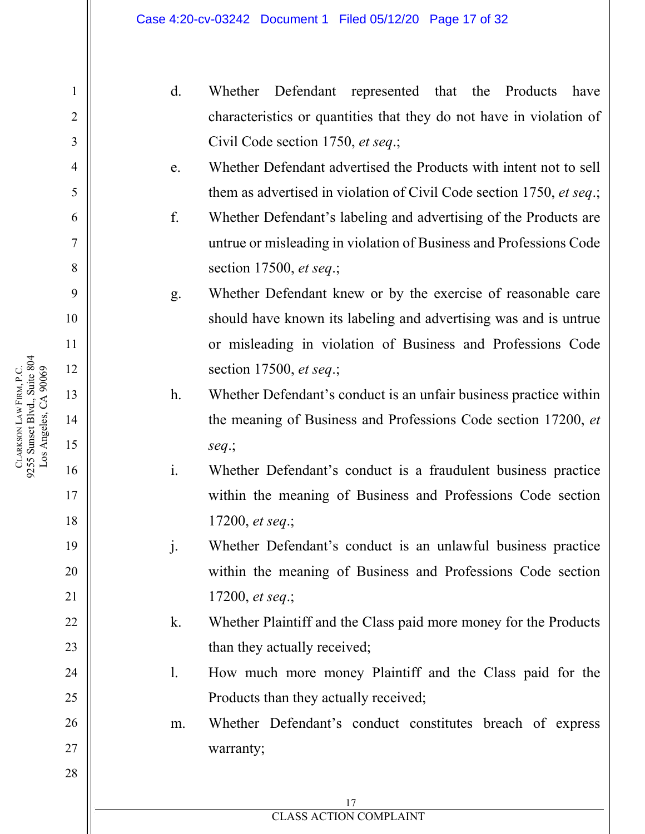- d. Whether Defendant represented that the Products have characteristics or quantities that they do not have in violation of Civil Code section 1750, *et seq*.;
- e. Whether Defendant advertised the Products with intent not to sell them as advertised in violation of Civil Code section 1750, *et seq*.;
- f. Whether Defendant's labeling and advertising of the Products are untrue or misleading in violation of Business and Professions Code section 17500, *et seq*.;
- g. Whether Defendant knew or by the exercise of reasonable care should have known its labeling and advertising was and is untrue or misleading in violation of Business and Professions Code section 17500, *et seq*.;
- h. Whether Defendant's conduct is an unfair business practice within the meaning of Business and Professions Code section 17200, *et seq*.;
- i. Whether Defendant's conduct is a fraudulent business practice within the meaning of Business and Professions Code section 17200, *et seq*.;
- j. Whether Defendant's conduct is an unlawful business practice within the meaning of Business and Professions Code section 17200, *et seq*.;
- k. Whether Plaintiff and the Class paid more money for the Products than they actually received;
- l. How much more money Plaintiff and the Class paid for the Products than they actually received;
- m. Whether Defendant's conduct constitutes breach of express warranty;

1

2

3

4

5

6

7

8

9

10

11

12

13

14

15

16

17

18

19

20

21

22

23

24

25

26

27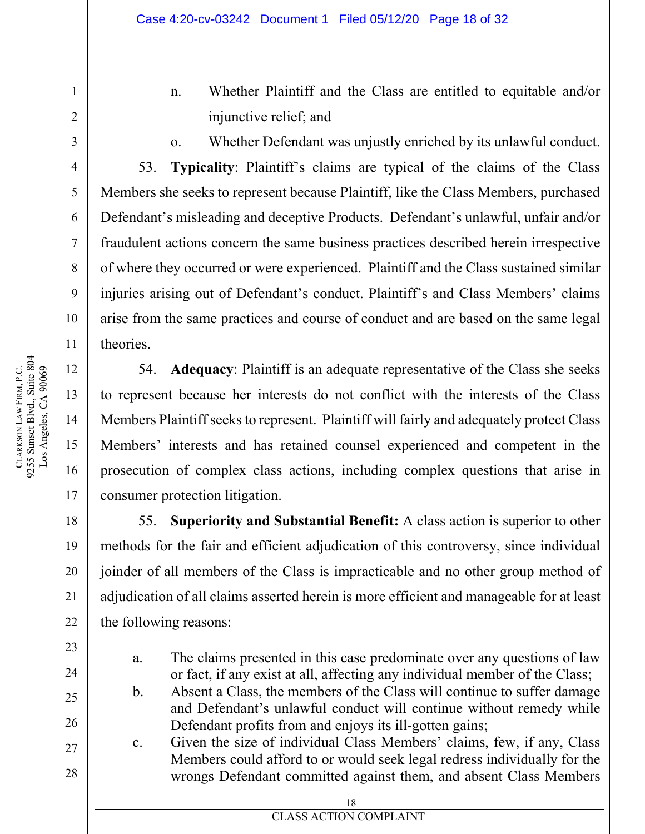- n. Whether Plaintiff and the Class are entitled to equitable and/or injunctive relief; and
- 

1

2

3

4

5

6

7

8

9

10

11

12

13

14

15

o. Whether Defendant was unjustly enriched by its unlawful conduct.

53. **Typicality**: Plaintiff's claims are typical of the claims of the Class Members she seeks to represent because Plaintiff, like the Class Members, purchased Defendant's misleading and deceptive Products. Defendant's unlawful, unfair and/or fraudulent actions concern the same business practices described herein irrespective of where they occurred or were experienced. Plaintiff and the Class sustained similar injuries arising out of Defendant's conduct. Plaintiff's and Class Members' claims arise from the same practices and course of conduct and are based on the same legal theories.

54. **Adequacy**: Plaintiff is an adequate representative of the Class she seeks to represent because her interests do not conflict with the interests of the Class Members Plaintiff seeks to represent. Plaintiff will fairly and adequately protect Class Members' interests and has retained counsel experienced and competent in the prosecution of complex class actions, including complex questions that arise in consumer protection litigation.

55. **Superiority and Substantial Benefit:** A class action is superior to other methods for the fair and efficient adjudication of this controversy, since individual joinder of all members of the Class is impracticable and no other group method of adjudication of all claims asserted herein is more efficient and manageable for at least the following reasons:

- a. The claims presented in this case predominate over any questions of law or fact, if any exist at all, affecting any individual member of the Class;
- b. Absent a Class, the members of the Class will continue to suffer damage and Defendant's unlawful conduct will continue without remedy while Defendant profits from and enjoys its ill-gotten gains;
- c. Given the size of individual Class Members' claims, few, if any, Class Members could afford to or would seek legal redress individually for the wrongs Defendant committed against them, and absent Class Members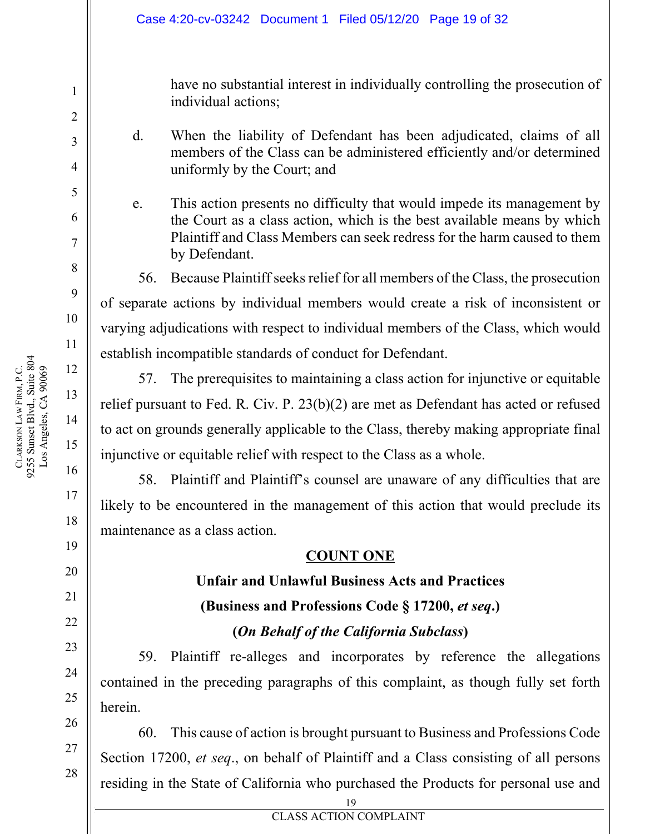have no substantial interest in individually controlling the prosecution of individual actions;

- d. When the liability of Defendant has been adjudicated, claims of all members of the Class can be administered efficiently and/or determined uniformly by the Court; and
- e. This action presents no difficulty that would impede its management by the Court as a class action, which is the best available means by which Plaintiff and Class Members can seek redress for the harm caused to them by Defendant.

56. Because Plaintiff seeks relief for all members of the Class, the prosecution of separate actions by individual members would create a risk of inconsistent or varying adjudications with respect to individual members of the Class, which would establish incompatible standards of conduct for Defendant.

57. The prerequisites to maintaining a class action for injunctive or equitable relief pursuant to Fed. R. Civ. P. 23(b)(2) are met as Defendant has acted or refused to act on grounds generally applicable to the Class, thereby making appropriate final injunctive or equitable relief with respect to the Class as a whole.

58. Plaintiff and Plaintiff's counsel are unaware of any difficulties that are likely to be encountered in the management of this action that would preclude its maintenance as a class action.

#### **COUNT ONE**

# **Unfair and Unlawful Business Acts and Practices (Business and Professions Code § 17200,** *et seq***.)**

#### **(***On Behalf of the California Subclass***)**

59. Plaintiff re-alleges and incorporates by reference the allegations contained in the preceding paragraphs of this complaint, as though fully set forth herein.

60. This cause of action is brought pursuant to Business and Professions Code Section 17200, *et seq*., on behalf of Plaintiff and a Class consisting of all persons residing in the State of California who purchased the Products for personal use and

1

2

3

4

5

6

7

8

9

10

11

12

13

14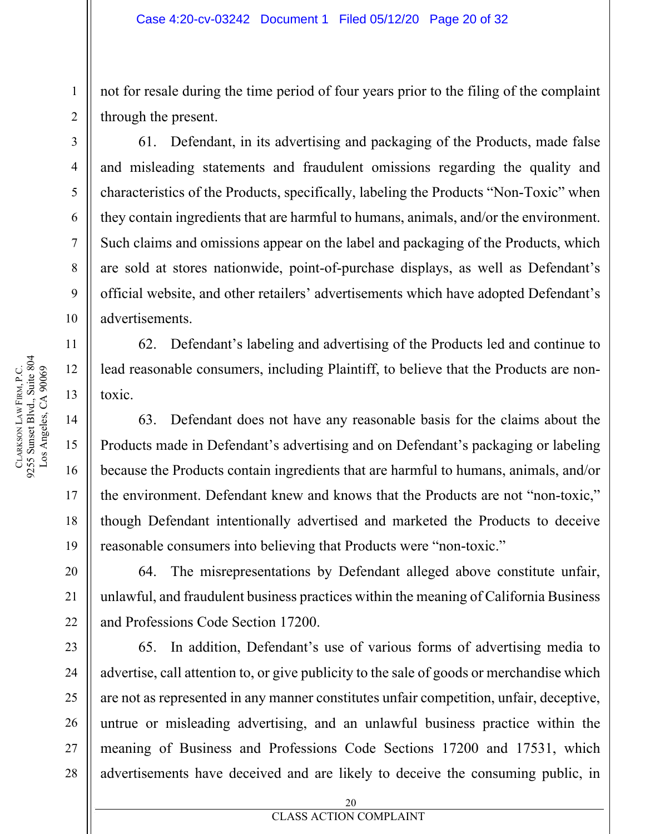not for resale during the time period of four years prior to the filing of the complaint through the present.

61. Defendant, in its advertising and packaging of the Products, made false and misleading statements and fraudulent omissions regarding the quality and characteristics of the Products, specifically, labeling the Products "Non-Toxic" when they contain ingredients that are harmful to humans, animals, and/or the environment. Such claims and omissions appear on the label and packaging of the Products, which are sold at stores nationwide, point-of-purchase displays, as well as Defendant's official website, and other retailers' advertisements which have adopted Defendant's advertisements.

62. Defendant's labeling and advertising of the Products led and continue to lead reasonable consumers, including Plaintiff, to believe that the Products are nontoxic.

63. Defendant does not have any reasonable basis for the claims about the Products made in Defendant's advertising and on Defendant's packaging or labeling because the Products contain ingredients that are harmful to humans, animals, and/or the environment. Defendant knew and knows that the Products are not "non-toxic," though Defendant intentionally advertised and marketed the Products to deceive reasonable consumers into believing that Products were "non-toxic."

64. The misrepresentations by Defendant alleged above constitute unfair, unlawful, and fraudulent business practices within the meaning of California Business and Professions Code Section 17200.

65. In addition, Defendant's use of various forms of advertising media to advertise, call attention to, or give publicity to the sale of goods or merchandise which are not as represented in any manner constitutes unfair competition, unfair, deceptive, untrue or misleading advertising, and an unlawful business practice within the meaning of Business and Professions Code Sections 17200 and 17531, which advertisements have deceived and are likely to deceive the consuming public, in

1

2

3

4

5

6

7

8

9

10

11

12

13

14

15

16

17

18

19

20

21

22

23

24

25

26

27

28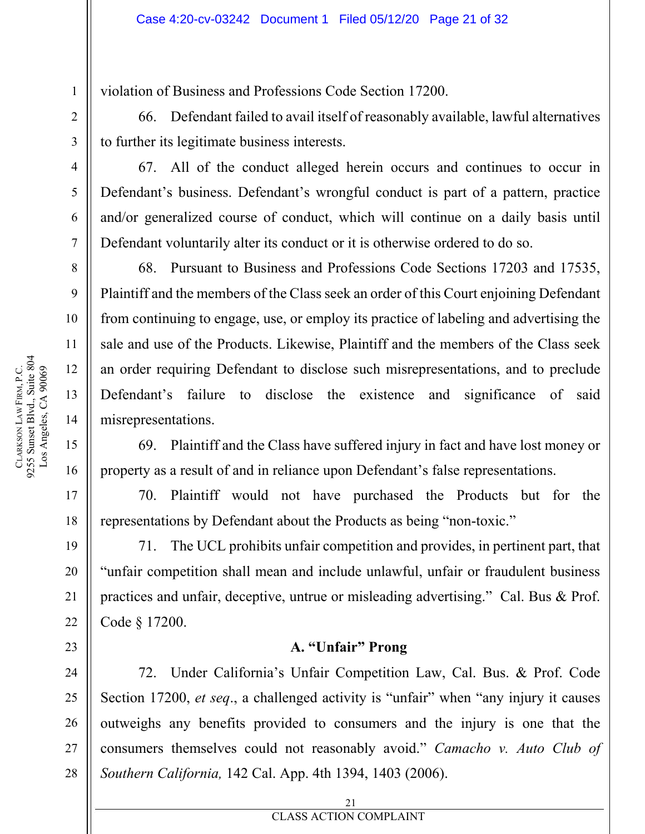violation of Business and Professions Code Section 17200.

66. Defendant failed to avail itself of reasonably available, lawful alternatives to further its legitimate business interests.

67. All of the conduct alleged herein occurs and continues to occur in Defendant's business. Defendant's wrongful conduct is part of a pattern, practice and/or generalized course of conduct, which will continue on a daily basis until Defendant voluntarily alter its conduct or it is otherwise ordered to do so.

68. Pursuant to Business and Professions Code Sections 17203 and 17535, Plaintiff and the members of the Class seek an order of this Court enjoining Defendant from continuing to engage, use, or employ its practice of labeling and advertising the sale and use of the Products. Likewise, Plaintiff and the members of the Class seek an order requiring Defendant to disclose such misrepresentations, and to preclude Defendant's failure to disclose the existence and significance of said misrepresentations.

69. Plaintiff and the Class have suffered injury in fact and have lost money or property as a result of and in reliance upon Defendant's false representations.

70. Plaintiff would not have purchased the Products but for the representations by Defendant about the Products as being "non-toxic."

71. The UCL prohibits unfair competition and provides, in pertinent part, that "unfair competition shall mean and include unlawful, unfair or fraudulent business practices and unfair, deceptive, untrue or misleading advertising." Cal. Bus & Prof. Code § 17200.

#### **A. "Unfair" Prong**

72. Under California's Unfair Competition Law, Cal. Bus. & Prof. Code Section 17200, *et seq*., a challenged activity is "unfair" when "any injury it causes outweighs any benefits provided to consumers and the injury is one that the consumers themselves could not reasonably avoid." *Camacho v. Auto Club of Southern California,* 142 Cal. App. 4th 1394, 1403 (2006).

1

2

3

4

5

6

7

8

9

10

11

12

13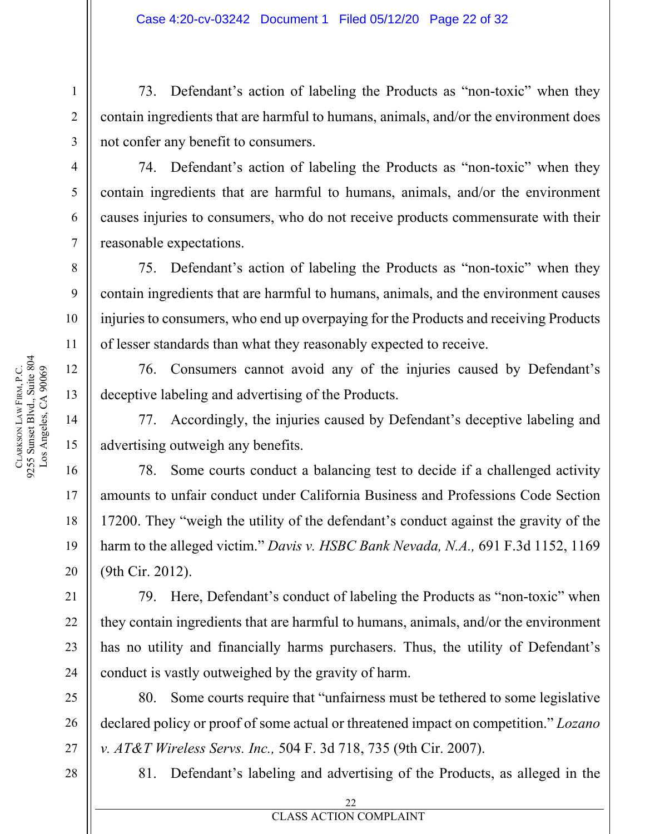73. Defendant's action of labeling the Products as "non-toxic" when they contain ingredients that are harmful to humans, animals, and/or the environment does not confer any benefit to consumers.

74. Defendant's action of labeling the Products as "non-toxic" when they contain ingredients that are harmful to humans, animals, and/or the environment causes injuries to consumers, who do not receive products commensurate with their reasonable expectations.

75. Defendant's action of labeling the Products as "non-toxic" when they contain ingredients that are harmful to humans, animals, and the environment causes injuries to consumers, who end up overpaying for the Products and receiving Products of lesser standards than what they reasonably expected to receive.

76. Consumers cannot avoid any of the injuries caused by Defendant's deceptive labeling and advertising of the Products.

77. Accordingly, the injuries caused by Defendant's deceptive labeling and advertising outweigh any benefits.

78. Some courts conduct a balancing test to decide if a challenged activity amounts to unfair conduct under California Business and Professions Code Section 17200. They "weigh the utility of the defendant's conduct against the gravity of the harm to the alleged victim." *Davis v. HSBC Bank Nevada, N.A.,* 691 F.3d 1152, 1169 (9th Cir. 2012).

79. Here, Defendant's conduct of labeling the Products as "non-toxic" when they contain ingredients that are harmful to humans, animals, and/or the environment has no utility and financially harms purchasers. Thus, the utility of Defendant's conduct is vastly outweighed by the gravity of harm.

80. Some courts require that "unfairness must be tethered to some legislative declared policy or proof of some actual or threatened impact on competition." *Lozano v. AT&T Wireless Servs. Inc.,* 504 F. 3d 718, 735 (9th Cir. 2007).

28

81. Defendant's labeling and advertising of the Products, as alleged in the

1

2

3

4

5

6

7

8

9

10

11

12

13

14

15

16

17

18

19

20

21

22

23

24

25

26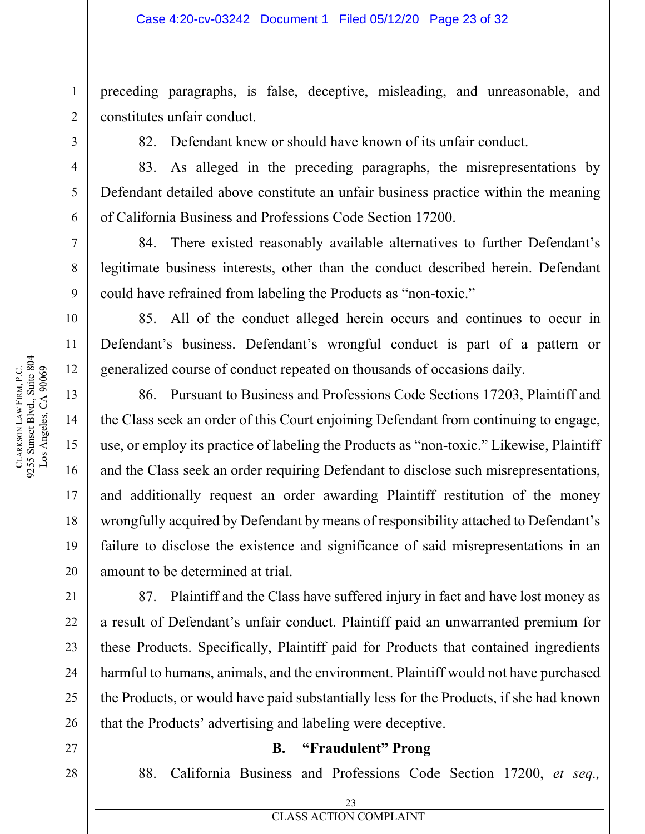preceding paragraphs, is false, deceptive, misleading, and unreasonable, and constitutes unfair conduct.

82. Defendant knew or should have known of its unfair conduct.

83. As alleged in the preceding paragraphs, the misrepresentations by Defendant detailed above constitute an unfair business practice within the meaning of California Business and Professions Code Section 17200.

84. There existed reasonably available alternatives to further Defendant's legitimate business interests, other than the conduct described herein. Defendant could have refrained from labeling the Products as "non-toxic."

85. All of the conduct alleged herein occurs and continues to occur in Defendant's business. Defendant's wrongful conduct is part of a pattern or generalized course of conduct repeated on thousands of occasions daily.

86. Pursuant to Business and Professions Code Sections 17203, Plaintiff and the Class seek an order of this Court enjoining Defendant from continuing to engage, use, or employ its practice of labeling the Products as "non-toxic." Likewise, Plaintiff and the Class seek an order requiring Defendant to disclose such misrepresentations, and additionally request an order awarding Plaintiff restitution of the money wrongfully acquired by Defendant by means of responsibility attached to Defendant's failure to disclose the existence and significance of said misrepresentations in an amount to be determined at trial.

87. Plaintiff and the Class have suffered injury in fact and have lost money as a result of Defendant's unfair conduct. Plaintiff paid an unwarranted premium for these Products. Specifically, Plaintiff paid for Products that contained ingredients harmful to humans, animals, and the environment. Plaintiff would not have purchased the Products, or would have paid substantially less for the Products, if she had known that the Products' advertising and labeling were deceptive.

#### **B. "Fraudulent" Prong**

88. California Business and Professions Code Section 17200, *et seq.,* 

1

2

3

4

5

6

7

8

9

10

11

12

13

14

15

16

> **EXECUTES ACTION COMPLAINT** 23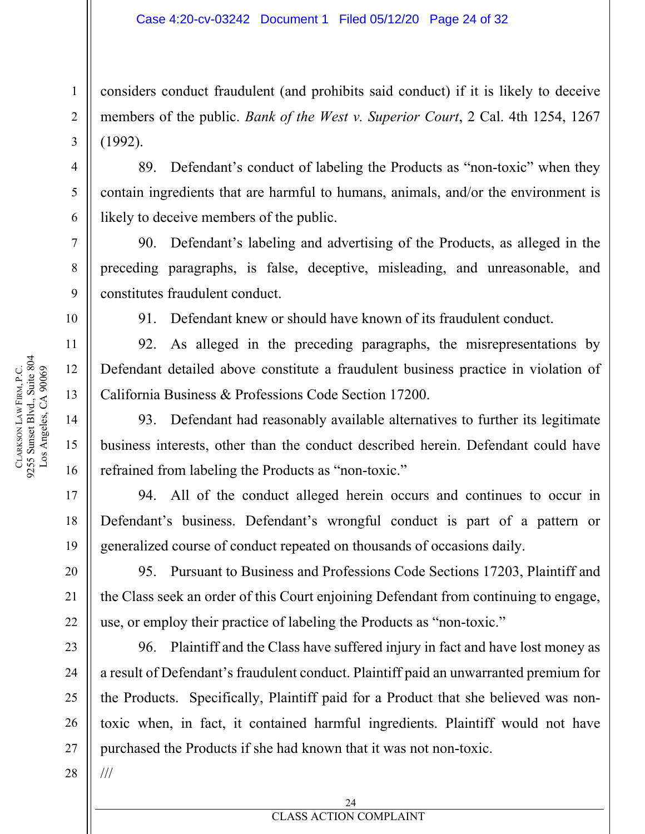considers conduct fraudulent (and prohibits said conduct) if it is likely to deceive members of the public. *Bank of the West v. Superior Court*, 2 Cal. 4th 1254, 1267 (1992).

89. Defendant's conduct of labeling the Products as "non-toxic" when they contain ingredients that are harmful to humans, animals, and/or the environment is likely to deceive members of the public.

90. Defendant's labeling and advertising of the Products, as alleged in the preceding paragraphs, is false, deceptive, misleading, and unreasonable, and constitutes fraudulent conduct.

91. Defendant knew or should have known of its fraudulent conduct.

92. As alleged in the preceding paragraphs, the misrepresentations by Defendant detailed above constitute a fraudulent business practice in violation of California Business & Professions Code Section 17200.

93. Defendant had reasonably available alternatives to further its legitimate business interests, other than the conduct described herein. Defendant could have refrained from labeling the Products as "non-toxic."

94. All of the conduct alleged herein occurs and continues to occur in Defendant's business. Defendant's wrongful conduct is part of a pattern or generalized course of conduct repeated on thousands of occasions daily.

95. Pursuant to Business and Professions Code Sections 17203, Plaintiff and the Class seek an order of this Court enjoining Defendant from continuing to engage, use, or employ their practice of labeling the Products as "non-toxic."

96. Plaintiff and the Class have suffered injury in fact and have lost money as a result of Defendant's fraudulent conduct. Plaintiff paid an unwarranted premium for the Products. Specifically, Plaintiff paid for a Product that she believed was nontoxic when, in fact, it contained harmful ingredients. Plaintiff would not have purchased the Products if she had known that it was not non-toxic.

1

2

3

4

5

6

7

8

9

10

11

12

13

14

15

16

///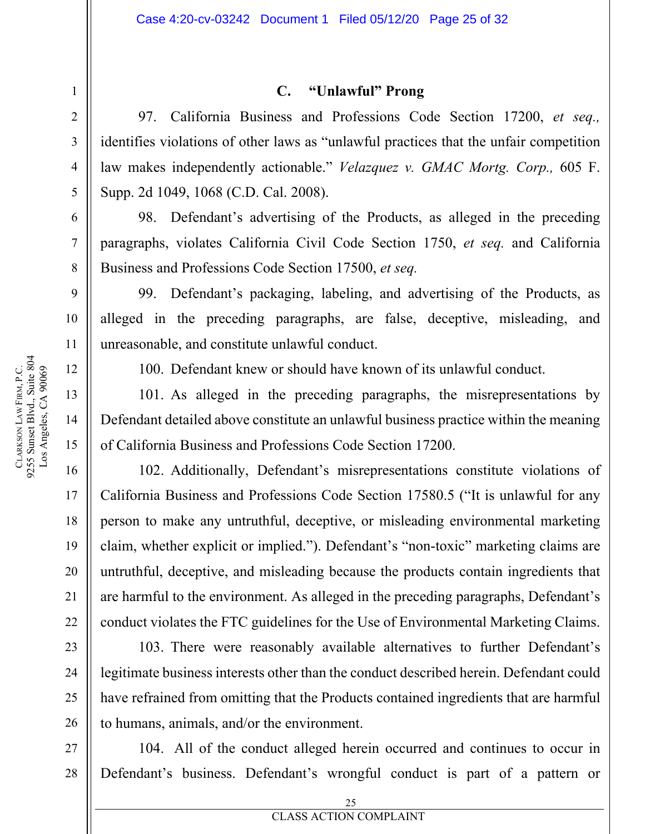#### **C. "Unlawful" Prong**

97. California Business and Professions Code Section 17200, *et seq.,*  identifies violations of other laws as "unlawful practices that the unfair competition law makes independently actionable." *Velazquez v. GMAC Mortg. Corp.,* 605 F. Supp. 2d 1049, 1068 (C.D. Cal. 2008).

98. Defendant's advertising of the Products, as alleged in the preceding paragraphs, violates California Civil Code Section 1750, *et seq.* and California Business and Professions Code Section 17500, *et seq.* 

99. Defendant's packaging, labeling, and advertising of the Products, as alleged in the preceding paragraphs, are false, deceptive, misleading, and unreasonable, and constitute unlawful conduct.

100. Defendant knew or should have known of its unlawful conduct.

101. As alleged in the preceding paragraphs, the misrepresentations by Defendant detailed above constitute an unlawful business practice within the meaning of California Business and Professions Code Section 17200.

102. Additionally, Defendant's misrepresentations constitute violations of California Business and Professions Code Section 17580.5 ("It is unlawful for any person to make any untruthful, deceptive, or misleading environmental marketing claim, whether explicit or implied."). Defendant's "non-toxic" marketing claims are untruthful, deceptive, and misleading because the products contain ingredients that are harmful to the environment. As alleged in the preceding paragraphs, Defendant's conduct violates the FTC guidelines for the Use of Environmental Marketing Claims.

103. There were reasonably available alternatives to further Defendant's legitimate business interests other than the conduct described herein. Defendant could have refrained from omitting that the Products contained ingredients that are harmful to humans, animals, and/or the environment.

28 104. All of the conduct alleged herein occurred and continues to occur in Defendant's business. Defendant's wrongful conduct is part of a pattern or

1

2

3

4

5

6

7

8

9

10

11

12

13

14

15

16

17

18

19

20

21

22

23

24

25

26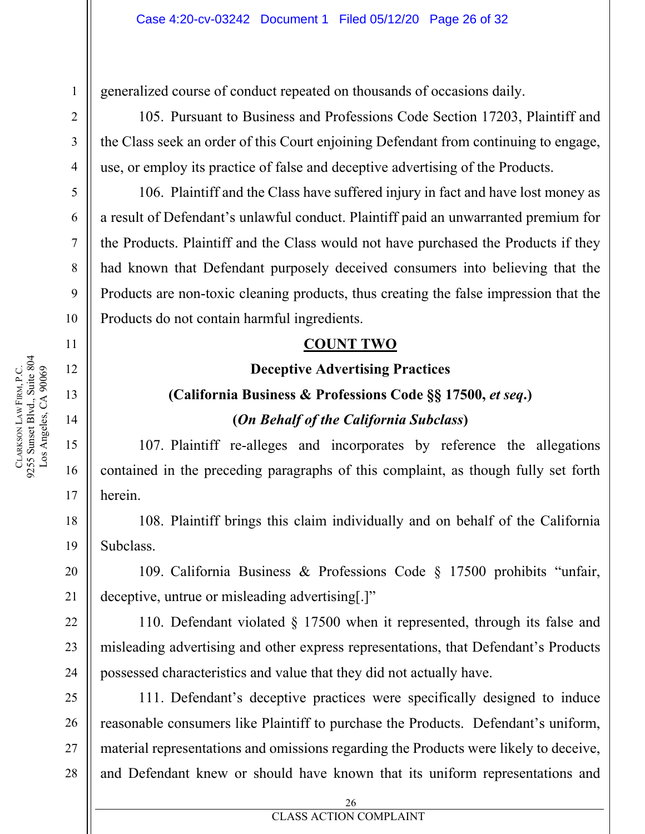generalized course of conduct repeated on thousands of occasions daily.

105. Pursuant to Business and Professions Code Section 17203, Plaintiff and the Class seek an order of this Court enjoining Defendant from continuing to engage, use, or employ its practice of false and deceptive advertising of the Products.

106. Plaintiff and the Class have suffered injury in fact and have lost money as a result of Defendant's unlawful conduct. Plaintiff paid an unwarranted premium for the Products. Plaintiff and the Class would not have purchased the Products if they had known that Defendant purposely deceived consumers into believing that the Products are non-toxic cleaning products, thus creating the false impression that the Products do not contain harmful ingredients.

#### **COUNT TWO**

#### **Deceptive Advertising Practices**

# **(California Business & Professions Code §§ 17500,** *et seq***.) (***On Behalf of the California Subclass***)**

107. Plaintiff re-alleges and incorporates by reference the allegations contained in the preceding paragraphs of this complaint, as though fully set forth herein.

108. Plaintiff brings this claim individually and on behalf of the California Subclass.

109. California Business & Professions Code § 17500 prohibits "unfair, deceptive, untrue or misleading advertising[.]"

110. Defendant violated § 17500 when it represented, through its false and misleading advertising and other express representations, that Defendant's Products possessed characteristics and value that they did not actually have.

111. Defendant's deceptive practices were specifically designed to induce reasonable consumers like Plaintiff to purchase the Products. Defendant's uniform, material representations and omissions regarding the Products were likely to deceive, and Defendant knew or should have known that its uniform representations and

1

2

3

4

5

6

7

8

9

10

11

12

13

14

15

16

17

18

19

20

21

22

23

24

25

26

27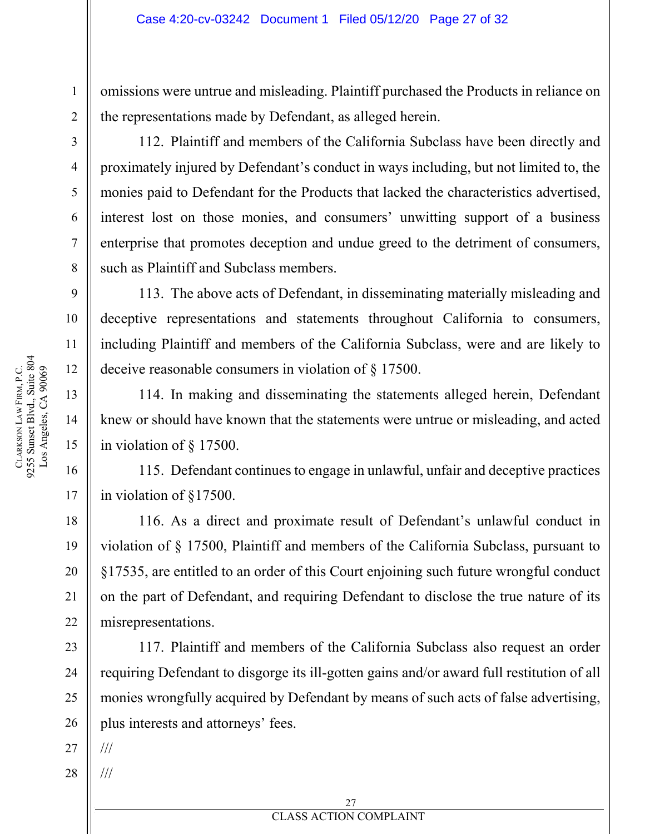omissions were untrue and misleading. Plaintiff purchased the Products in reliance on the representations made by Defendant, as alleged herein.

112. Plaintiff and members of the California Subclass have been directly and proximately injured by Defendant's conduct in ways including, but not limited to, the monies paid to Defendant for the Products that lacked the characteristics advertised, interest lost on those monies, and consumers' unwitting support of a business enterprise that promotes deception and undue greed to the detriment of consumers, such as Plaintiff and Subclass members.

113. The above acts of Defendant, in disseminating materially misleading and deceptive representations and statements throughout California to consumers, including Plaintiff and members of the California Subclass, were and are likely to deceive reasonable consumers in violation of § 17500.

114. In making and disseminating the statements alleged herein, Defendant knew or should have known that the statements were untrue or misleading, and acted in violation of § 17500.

115. Defendant continues to engage in unlawful, unfair and deceptive practices in violation of §17500.

116. As a direct and proximate result of Defendant's unlawful conduct in violation of § 17500, Plaintiff and members of the California Subclass, pursuant to §17535, are entitled to an order of this Court enjoining such future wrongful conduct on the part of Defendant, and requiring Defendant to disclose the true nature of its misrepresentations.

117. Plaintiff and members of the California Subclass also request an order requiring Defendant to disgorge its ill-gotten gains and/or award full restitution of all monies wrongfully acquired by Defendant by means of such acts of false advertising, plus interests and attorneys' fees.

27 ///

///

28

1

2

3

4

5

6

7

8

9

10

11

12

13

14

15

16

17

18

19

20

21

22

23

24

25

26

**EXECUTES ACTION COMPLAINT** 27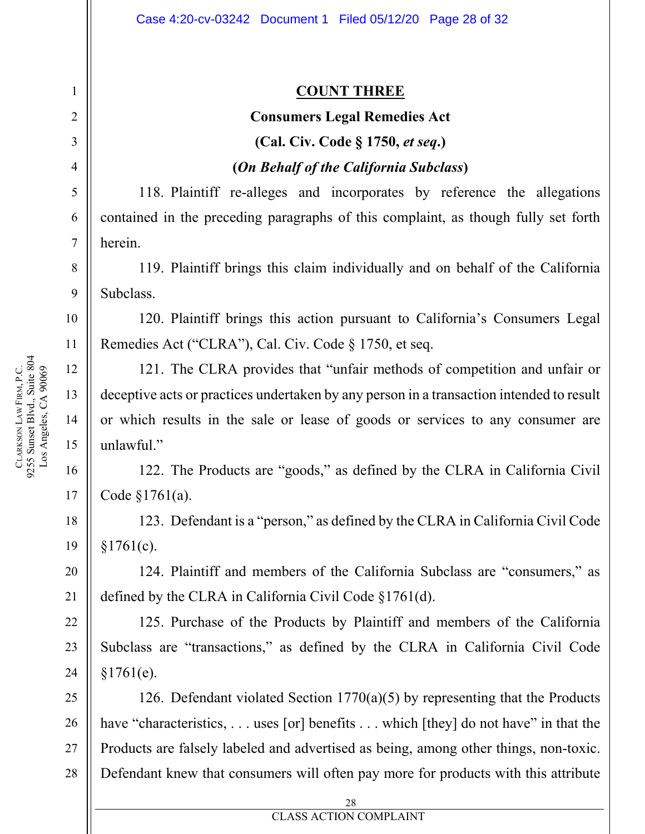#### **COUNT THREE**

#### **Consumers Legal Remedies Act**

# **(Cal. Civ. Code § 1750,** *et seq***.)**

#### **(***On Behalf of the California Subclass***)**

118. Plaintiff re-alleges and incorporates by reference the allegations contained in the preceding paragraphs of this complaint, as though fully set forth herein.

119. Plaintiff brings this claim individually and on behalf of the California Subclass.

120. Plaintiff brings this action pursuant to California's Consumers Legal Remedies Act ("CLRA"), Cal. Civ. Code § 1750, et seq.

121. The CLRA provides that "unfair methods of competition and unfair or deceptive acts or practices undertaken by any person in a transaction intended to result or which results in the sale or lease of goods or services to any consumer are unlawful."

122. The Products are "goods," as defined by the CLRA in California Civil Code §1761(a).

123. Defendant is a "person," as defined by the CLRA in California Civil Code  $§1761(c).$ 

124. Plaintiff and members of the California Subclass are "consumers," as defined by the CLRA in California Civil Code §1761(d).

125. Purchase of the Products by Plaintiff and members of the California Subclass are "transactions," as defined by the CLRA in California Civil Code §1761(e).

126. Defendant violated Section 1770(a)(5) by representing that the Products have "characteristics, . . . uses [or] benefits . . . which [they] do not have" in that the Products are falsely labeled and advertised as being, among other things, non-toxic. Defendant knew that consumers will often pay more for products with this attribute

1

2

3

4

5

6

7

8

9

10

11

12

13

14

15

16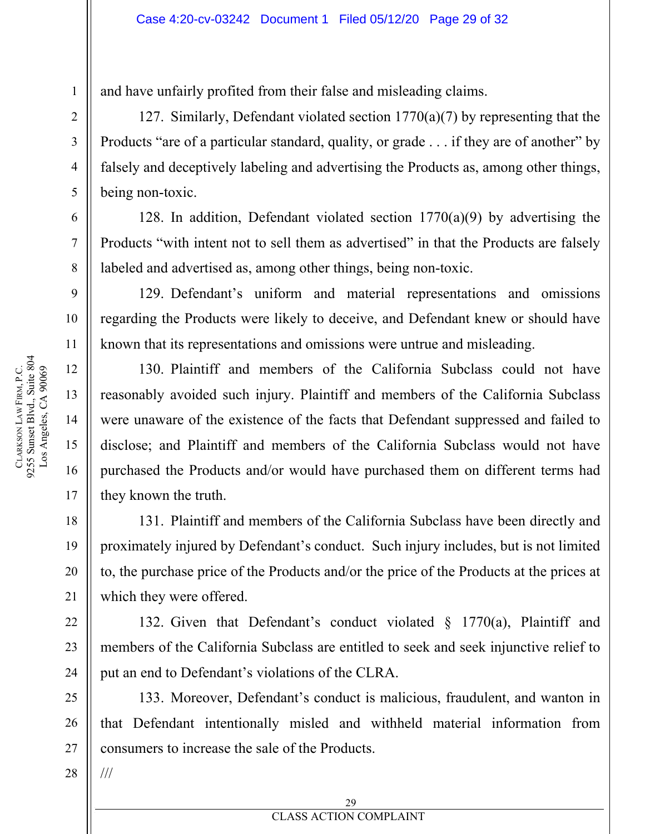and have unfairly profited from their false and misleading claims.

127. Similarly, Defendant violated section 1770(a)(7) by representing that the Products "are of a particular standard, quality, or grade . . . if they are of another" by falsely and deceptively labeling and advertising the Products as, among other things, being non-toxic.

128. In addition, Defendant violated section  $1770(a)(9)$  by advertising the Products "with intent not to sell them as advertised" in that the Products are falsely labeled and advertised as, among other things, being non-toxic.

129. Defendant's uniform and material representations and omissions regarding the Products were likely to deceive, and Defendant knew or should have known that its representations and omissions were untrue and misleading.

130. Plaintiff and members of the California Subclass could not have reasonably avoided such injury. Plaintiff and members of the California Subclass were unaware of the existence of the facts that Defendant suppressed and failed to disclose; and Plaintiff and members of the California Subclass would not have purchased the Products and/or would have purchased them on different terms had they known the truth.

131. Plaintiff and members of the California Subclass have been directly and proximately injured by Defendant's conduct. Such injury includes, but is not limited to, the purchase price of the Products and/or the price of the Products at the prices at which they were offered.

132. Given that Defendant's conduct violated § 1770(a), Plaintiff and members of the California Subclass are entitled to seek and seek injunctive relief to put an end to Defendant's violations of the CLRA.

133. Moreover, Defendant's conduct is malicious, fraudulent, and wanton in that Defendant intentionally misled and withheld material information from consumers to increase the sale of the Products.

28

///

1

2

3

4

5

6

7

8

9

10

11

12

13

14

15

16

17

18

19

20

21

22

23

24

25

26

27

**EXECUTES ACTION COMPLAINT** 29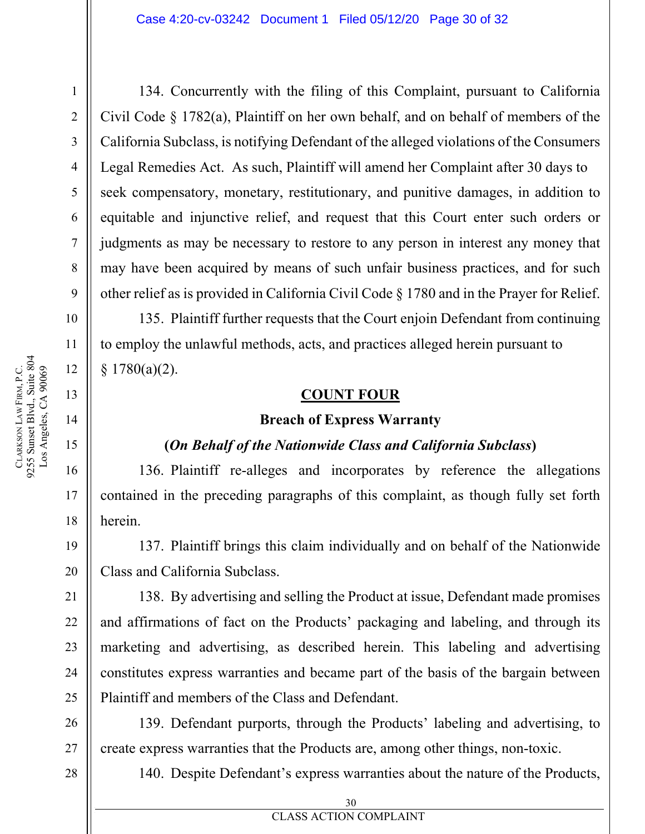134. Concurrently with the filing of this Complaint, pursuant to California Civil Code § 1782(a), Plaintiff on her own behalf, and on behalf of members of the California Subclass, is notifying Defendant of the alleged violations of the Consumers Legal Remedies Act. As such, Plaintiff will amend her Complaint after 30 days to seek compensatory, monetary, restitutionary, and punitive damages, in addition to equitable and injunctive relief, and request that this Court enter such orders or judgments as may be necessary to restore to any person in interest any money that may have been acquired by means of such unfair business practices, and for such other relief as is provided in California Civil Code § 1780 and in the Prayer for Relief.

135. Plaintiff further requests that the Court enjoin Defendant from continuing to employ the unlawful methods, acts, and practices alleged herein pursuant to  $§ 1780(a)(2).$ 

#### **COUNT FOUR**

#### **Breach of Express Warranty**

#### **(***On Behalf of the Nationwide Class and California Subclass***)**

136. Plaintiff re-alleges and incorporates by reference the allegations contained in the preceding paragraphs of this complaint, as though fully set forth herein.

137. Plaintiff brings this claim individually and on behalf of the Nationwide Class and California Subclass.

138. By advertising and selling the Product at issue, Defendant made promises and affirmations of fact on the Products' packaging and labeling, and through its marketing and advertising, as described herein. This labeling and advertising constitutes express warranties and became part of the basis of the bargain between Plaintiff and members of the Class and Defendant.

139. Defendant purports, through the Products' labeling and advertising, to create express warranties that the Products are, among other things, non-toxic.

140. Despite Defendant's express warranties about the nature of the Products,

1

2

3

4

5

6

7

8

9

10

11

12

13

14

Los Angeles, CA 90069

15

16

17

18

19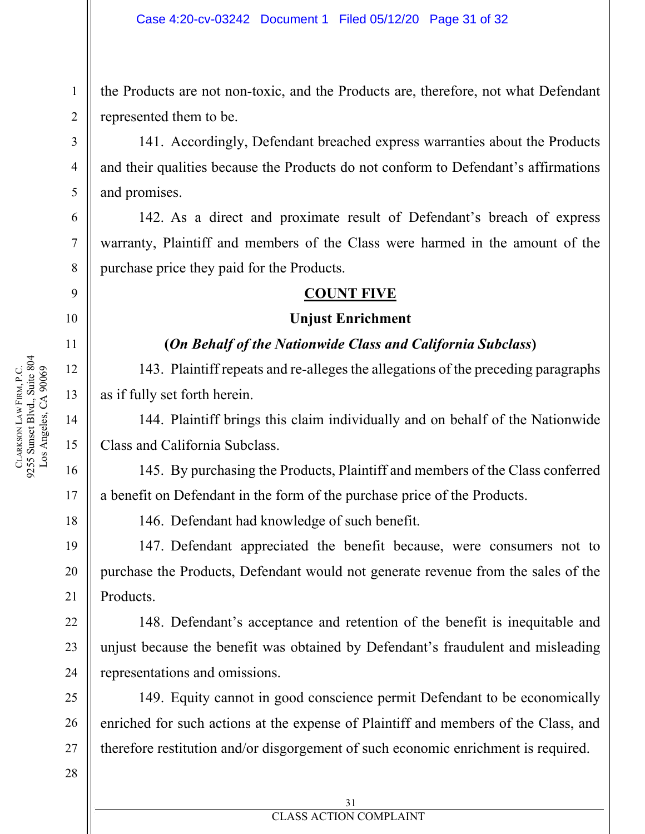the Products are not non-toxic, and the Products are, therefore, not what Defendant represented them to be.

141. Accordingly, Defendant breached express warranties about the Products and their qualities because the Products do not conform to Defendant's affirmations and promises.

142. As a direct and proximate result of Defendant's breach of express warranty, Plaintiff and members of the Class were harmed in the amount of the purchase price they paid for the Products.

#### **COUNT FIVE**

#### **Unjust Enrichment**

#### **(***On Behalf of the Nationwide Class and California Subclass***)**

143. Plaintiff repeats and re-alleges the allegations of the preceding paragraphs as if fully set forth herein.

144. Plaintiff brings this claim individually and on behalf of the Nationwide Class and California Subclass.

145. By purchasing the Products, Plaintiff and members of the Class conferred a benefit on Defendant in the form of the purchase price of the Products.

146. Defendant had knowledge of such benefit.

147. Defendant appreciated the benefit because, were consumers not to purchase the Products, Defendant would not generate revenue from the sales of the Products.

148. Defendant's acceptance and retention of the benefit is inequitable and unjust because the benefit was obtained by Defendant's fraudulent and misleading representations and omissions.

149. Equity cannot in good conscience permit Defendant to be economically enriched for such actions at the expense of Plaintiff and members of the Class, and therefore restitution and/or disgorgement of such economic enrichment is required.

1

2

3

4

5

6

7

8

9

10

11

12

13

14

15

16

17

18

19

20

21

22

23

24

25

26

27

**EXECUTES ACTION COMPLAINT** 31